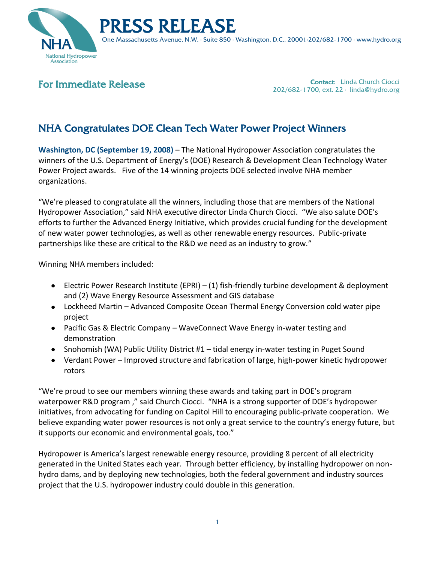



One Massachusetts Avenue, N.W. ∙ Suite 850 ∙ Washington, D.C., 20001∙202/682-1700 ∙ www.hydro.org

## For Immediate Release

Contact: Linda Church Ciocci 202/682-1700, ext. 22 ∙ linda@hydro.org

## NHA Congratulates DOE Clean Tech Water Power Project Winners

**Washington, DC (September 19, 2008)** – The National Hydropower Association congratulates the winners of the U.S. Department of Energy's (DOE) Research & Development Clean Technology Water Power Project awards. Five of the 14 winning projects DOE selected involve NHA member organizations.

"We're pleased to congratulate all the winners, including those that are members of the National Hydropower Association," said NHA executive director Linda Church Ciocci. "We also salute DOE's efforts to further the Advanced Energy Initiative, which provides crucial funding for the development of new water power technologies, as well as other renewable energy resources. Public-private partnerships like these are critical to the R&D we need as an industry to grow."

Winning NHA members included:

- Electric Power Research Institute (EPRI) (1) fish-friendly turbine development & deployment and (2) Wave Energy Resource Assessment and GIS database
- Lockheed Martin Advanced Composite Ocean Thermal Energy Conversion cold water pipe project
- Pacific Gas & Electric Company WaveConnect Wave Energy in-water testing and demonstration
- Snohomish (WA) Public Utility District #1 tidal energy in-water testing in Puget Sound
- Verdant Power Improved structure and fabrication of large, high-power kinetic hydropower rotors

"We're proud to see our members winning these awards and taking part in DOE's program waterpower R&D program," said Church Ciocci. "NHA is a strong supporter of DOE's hydropower initiatives, from advocating for funding on Capitol Hill to encouraging public-private cooperation. We believe expanding water power resources is not only a great service to the country's energy future, but it supports our economic and environmental goals, too."

Hydropower is America's largest renewable energy resource, providing 8 percent of all electricity generated in the United States each year. Through better efficiency, by installing hydropower on nonhydro dams, and by deploying new technologies, both the federal government and industry sources project that the U.S. hydropower industry could double in this generation.